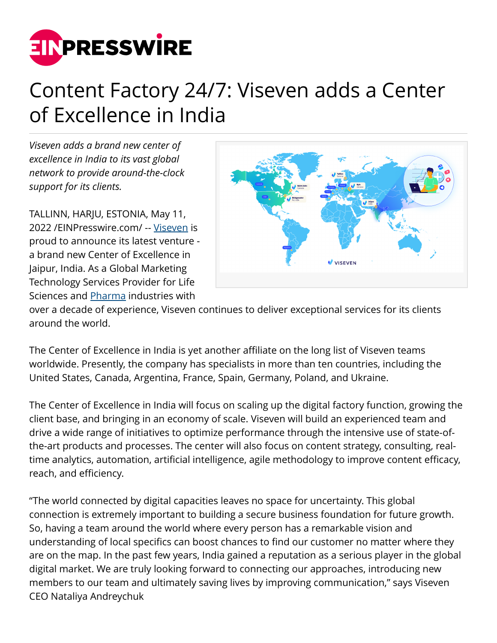

## Content Factory 24/7: Viseven adds a Center of Excellence in India

*Viseven adds a brand new center of excellence in India to its vast global network to provide around-the-clock support for its clients.*

TALLINN, HARJU, ESTONIA, May 11, 2022 /[EINPresswire.com](http://www.einpresswire.com)/ -- [Viseven](http://viseven.com) is proud to announce its latest venture a brand new Center of Excellence in Jaipur, India. As a Global Marketing Technology Services Provider for Life Sciences and [Pharma](https://viseven.com) industries with



over a decade of experience, Viseven continues to deliver exceptional services for its clients around the world.

The Center of Excellence in India is yet another affiliate on the long list of Viseven teams worldwide. Presently, the company has specialists in more than ten countries, including the United States, Canada, Argentina, France, Spain, Germany, Poland, and Ukraine.

The Center of Excellence in India will focus on scaling up the digital factory function, growing the client base, and bringing in an economy of scale. Viseven will build an experienced team and drive a wide range of initiatives to optimize performance through the intensive use of state-ofthe-art products and processes. The center will also focus on content strategy, consulting, realtime analytics, automation, artificial intelligence, agile methodology to improve content efficacy, reach, and efficiency.

"The world connected by digital capacities leaves no space for uncertainty. This global connection is extremely important to building a secure business foundation for future growth. So, having a team around the world where every person has a remarkable vision and understanding of local specifics can boost chances to find our customer no matter where they are on the map. In the past few years, India gained a reputation as a serious player in the global digital market. We are truly looking forward to connecting our approaches, introducing new members to our team and ultimately saving lives by improving communication," says Viseven CEO Nataliya Andreychuk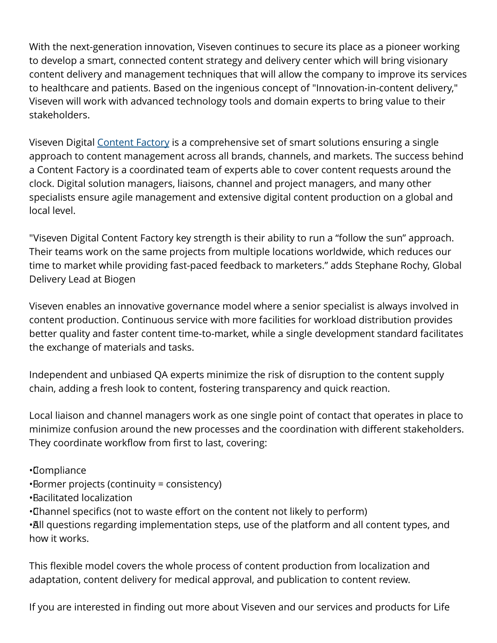With the next-generation innovation, Viseven continues to secure its place as a pioneer working to develop a smart, connected content strategy and delivery center which will bring visionary content delivery and management techniques that will allow the company to improve its services to healthcare and patients. Based on the ingenious concept of "Innovation-in-content delivery," Viseven will work with advanced technology tools and domain experts to bring value to their stakeholders.

Viseven Digital [Content Factory](https://viseven.com/full-digital-content-factory/) is a comprehensive set of smart solutions ensuring a single approach to content management across all brands, channels, and markets. The success behind a Content Factory is a coordinated team of experts able to cover content requests around the clock. Digital solution managers, liaisons, channel and project managers, and many other specialists ensure agile management and extensive digital content production on a global and local level.

"Viseven Digital Content Factory key strength is their ability to run a "follow the sun" approach. Their teams work on the same projects from multiple locations worldwide, which reduces our time to market while providing fast-paced feedback to marketers." adds Stephane Rochy, Global Delivery Lead at Biogen

Viseven enables an innovative governance model where a senior specialist is always involved in content production. Continuous service with more facilities for workload distribution provides better quality and faster content time-to-market, while a single development standard facilitates the exchange of materials and tasks.

Independent and unbiased QA experts minimize the risk of disruption to the content supply chain, adding a fresh look to content, fostering transparency and quick reaction.

Local liaison and channel managers work as one single point of contact that operates in place to minimize confusion around the new processes and the coordination with different stakeholders. They coordinate workflow from first to last, covering:

- • Compliance
- • Former projects (continuity = consistency)
- • Facilitated localization
- • Channel specifics (not to waste effort on the content not likely to perform)

•All questions regarding implementation steps, use of the platform and all content types, and how it works.

This flexible model covers the whole process of content production from localization and adaptation, content delivery for medical approval, and publication to content review.

If you are interested in finding out more about Viseven and our services and products for Life